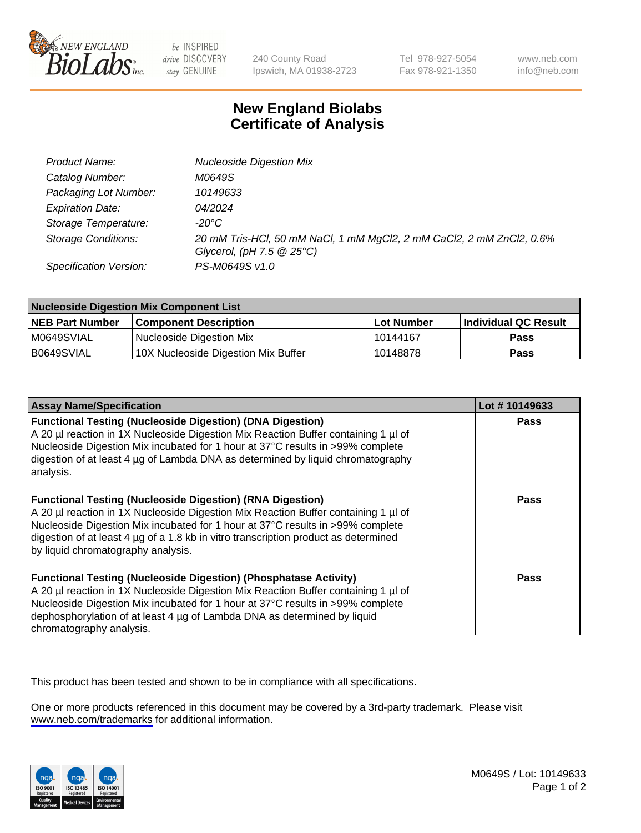

be INSPIRED drive DISCOVERY stay GENUINE

240 County Road Ipswich, MA 01938-2723 Tel 978-927-5054 Fax 978-921-1350

www.neb.com info@neb.com

## **New England Biolabs Certificate of Analysis**

| Product Name:              | <b>Nucleoside Digestion Mix</b>                                                                                           |
|----------------------------|---------------------------------------------------------------------------------------------------------------------------|
| Catalog Number:            | M0649S                                                                                                                    |
| Packaging Lot Number:      | 10149633                                                                                                                  |
| <b>Expiration Date:</b>    | 04/2024                                                                                                                   |
| Storage Temperature:       | -20°C                                                                                                                     |
| <b>Storage Conditions:</b> | 20 mM Tris-HCl, 50 mM NaCl, 1 mM MgCl2, 2 mM CaCl2, 2 mM ZnCl2, 0.6%<br>Glycerol, (pH $7.5 \textcircled{2} 25^{\circ}$ C) |
| Specification Version:     | PS-M0649S v1.0                                                                                                            |

| <b>Nucleoside Digestion Mix Component List</b> |                                     |            |                      |  |
|------------------------------------------------|-------------------------------------|------------|----------------------|--|
| <b>NEB Part Number</b>                         | <b>Component Description</b>        | Lot Number | Individual QC Result |  |
| M0649SVIAL                                     | Nucleoside Digestion Mix            | 10144167   | <b>Pass</b>          |  |
| B0649SVIAL                                     | 10X Nucleoside Digestion Mix Buffer | 10148878   | Pass                 |  |

| <b>Assay Name/Specification</b>                                                                                                                                                                                                                                                                                                                                       | Lot #10149633 |
|-----------------------------------------------------------------------------------------------------------------------------------------------------------------------------------------------------------------------------------------------------------------------------------------------------------------------------------------------------------------------|---------------|
| <b>Functional Testing (Nucleoside Digestion) (DNA Digestion)</b><br>A 20 µl reaction in 1X Nucleoside Digestion Mix Reaction Buffer containing 1 µl of<br>Nucleoside Digestion Mix incubated for 1 hour at 37°C results in >99% complete<br>digestion of at least 4 µg of Lambda DNA as determined by liguid chromatography<br>analysis.                              | <b>Pass</b>   |
| <b>Functional Testing (Nucleoside Digestion) (RNA Digestion)</b><br>A 20 µl reaction in 1X Nucleoside Digestion Mix Reaction Buffer containing 1 µl of<br>Nucleoside Digestion Mix incubated for 1 hour at 37°C results in >99% complete<br>digestion of at least 4 µg of a 1.8 kb in vitro transcription product as determined<br>by liquid chromatography analysis. | Pass          |
| <b>Functional Testing (Nucleoside Digestion) (Phosphatase Activity)</b><br>A 20 µl reaction in 1X Nucleoside Digestion Mix Reaction Buffer containing 1 µl of<br>Nucleoside Digestion Mix incubated for 1 hour at 37°C results in >99% complete<br>dephosphorylation of at least 4 µg of Lambda DNA as determined by liquid<br>chromatography analysis.               | <b>Pass</b>   |

This product has been tested and shown to be in compliance with all specifications.

One or more products referenced in this document may be covered by a 3rd-party trademark. Please visit <www.neb.com/trademarks>for additional information.